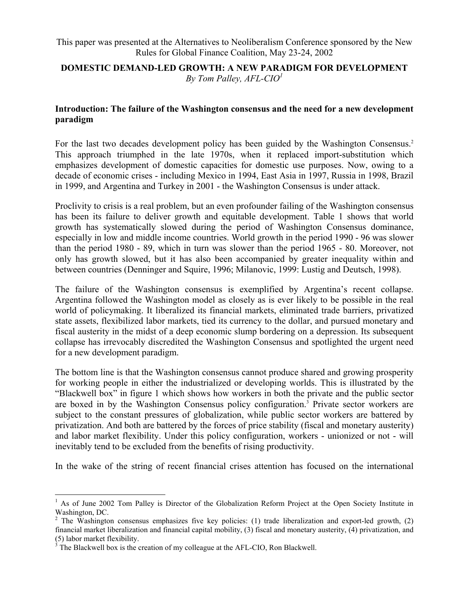This paper was presented at the Alternatives to Neoliberalism Conference sponsored by the New Rules for Global Finance Coalition, May 23-24, 2002

#### **DOMESTIC DEMAND-LED GROWTH: A NEW PARADIGM FOR DEVELOPMENT**  *By Tom Palley, AFL-CI[O1](#page-0-0)*

#### **Introduction: The failure of the Washington consensus and the need for a new development paradigm**

For the last two decades development policy has been guided by the Washington Consensus.<sup>2</sup> This approach triumphed in the late 1970s, when it replaced import-substitution which emphasizes development of domestic capacities for domestic use purposes. Now, owing to a decade of economic crises - including Mexico in 1994, East Asia in 1997, Russia in 1998, Brazil in 1999, and Argentina and Turkey in 2001 - the Washington Consensus is under attack.

Proclivity to crisis is a real problem, but an even profounder failing of the Washington consensus has been its failure to deliver growth and equitable development. Table 1 shows that world growth has systematically slowed during the period of Washington Consensus dominance, especially in low and middle income countries. World growth in the period 1990 - 96 was slower than the period 1980 - 89, which in turn was slower than the period 1965 - 80. Moreover, not only has growth slowed, but it has also been accompanied by greater inequality within and between countries (Denninger and Squire, 1996; Milanovic, 1999: Lustig and Deutsch, 1998).

The failure of the Washington consensus is exemplified by Argentina's recent collapse. Argentina followed the Washington model as closely as is ever likely to be possible in the real world of policymaking. It liberalized its financial markets, eliminated trade barriers, privatized state assets, flexibilized labor markets, tied its currency to the dollar, and pursued monetary and fiscal austerity in the midst of a deep economic slump bordering on a depression. Its subsequent collapse has irrevocably discredited the Washington Consensus and spotlighted the urgent need for a new development paradigm.

The bottom line is that the Washington consensus cannot produce shared and growing prosperity for working people in either the industrialized or developing worlds. This is illustrated by the "Blackwell box" in figure 1 which shows how workers in both the private and the public sector areboxed in by the Washington Consensus policy configuration.<sup>3</sup> Private sector workers are subject to the constant pressures of globalization, while public sector workers are battered by privatization. And both are battered by the forces of price stability (fiscal and monetary austerity) and labor market flexibility. Under this policy configuration, workers - unionized or not - will inevitably tend to be excluded from the benefits of rising productivity.

In the wake of the string of recent financial crises attention has focused on the international

1

<span id="page-0-0"></span><sup>&</sup>lt;sup>1</sup> As of June 2002 Tom Palley is Director of the Globalization Reform Project at the Open Society Institute in Washington, DC.

<span id="page-0-1"></span><sup>&</sup>lt;sup>2</sup> The Washington consensus emphasizes five key policies: (1) trade liberalization and export-led growth, (2) financial market liberalization and financial capital mobility, (3) fiscal and monetary austerity, (4) privatization, and (5) labor market flexibility.<br> $\frac{3}{2}$  The Plaskwell box is the a

<span id="page-0-2"></span> $\frac{1}{2}$ . The Blackwell box is the creation of my colleague at the AFL-CIO, Ron Blackwell.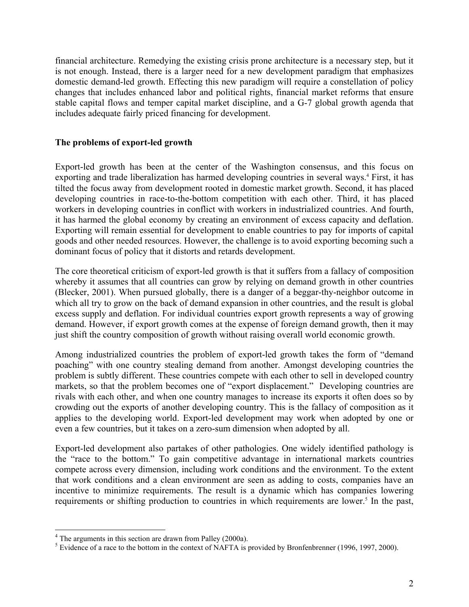financial architecture. Remedying the existing crisis prone architecture is a necessary step, but it is not enough. Instead, there is a larger need for a new development paradigm that emphasizes domestic demand-led growth. Effecting this new paradigm will require a constellation of policy changes that includes enhanced labor and political rights, financial market reforms that ensure stable capital flows and temper capital market discipline, and a G-7 global growth agenda that includes adequate fairly priced financing for development.

#### **The problems of export-led growth**

Export-led growth has been at the center of the Washington consensus, and this focus on exporting and trade liberalization has harmed developing countries in several ways.<sup>[4](#page-1-0)</sup> First, it has tilted the focus away from development rooted in domestic market growth. Second, it has placed developing countries in race-to-the-bottom competition with each other. Third, it has placed workers in developing countries in conflict with workers in industrialized countries. And fourth, it has harmed the global economy by creating an environment of excess capacity and deflation. Exporting will remain essential for development to enable countries to pay for imports of capital goods and other needed resources. However, the challenge is to avoid exporting becoming such a dominant focus of policy that it distorts and retards development.

The core theoretical criticism of export-led growth is that it suffers from a fallacy of composition whereby it assumes that all countries can grow by relying on demand growth in other countries (Blecker, 2001). When pursued globally, there is a danger of a beggar-thy-neighbor outcome in which all try to grow on the back of demand expansion in other countries, and the result is global excess supply and deflation. For individual countries export growth represents a way of growing demand. However, if export growth comes at the expense of foreign demand growth, then it may just shift the country composition of growth without raising overall world economic growth.

Among industrialized countries the problem of export-led growth takes the form of "demand poaching" with one country stealing demand from another. Amongst developing countries the problem is subtly different. These countries compete with each other to sell in developed country markets, so that the problem becomes one of "export displacement." Developing countries are rivals with each other, and when one country manages to increase its exports it often does so by crowding out the exports of another developing country. This is the fallacy of composition as it applies to the developing world. Export-led development may work when adopted by one or even a few countries, but it takes on a zero-sum dimension when adopted by all.

Export-led development also partakes of other pathologies. One widely identified pathology is the "race to the bottom." To gain competitive advantage in international markets countries compete across every dimension, including work conditions and the environment. To the extent that work conditions and a clean environment are seen as adding to costs, companies have an incentive to minimize requirements. The result is a dynamic which has companies lowering requirementsor shifting production to countries in which requirements are lower.<sup>5</sup> In the past,

<span id="page-1-0"></span><sup>&</sup>lt;sup>4</sup> The arguments in this section are drawn from Palley (2000a).

<span id="page-1-1"></span> $5$  Evidence of a race to the bottom in the context of NAFTA is provided by Bronfenbrenner (1996, 1997, 2000).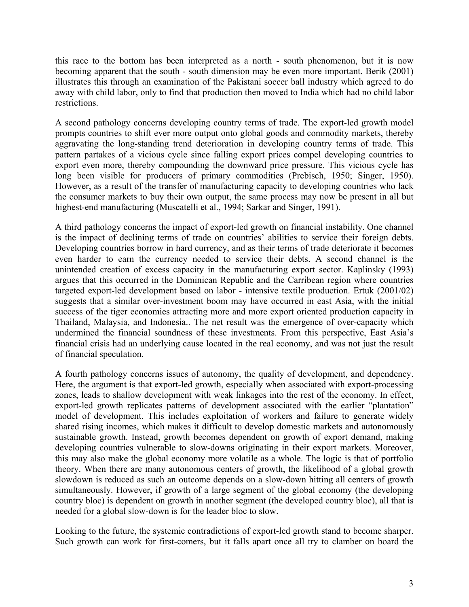this race to the bottom has been interpreted as a north - south phenomenon, but it is now becoming apparent that the south - south dimension may be even more important. Berik (2001) illustrates this through an examination of the Pakistani soccer ball industry which agreed to do away with child labor, only to find that production then moved to India which had no child labor restrictions.

A second pathology concerns developing country terms of trade. The export-led growth model prompts countries to shift ever more output onto global goods and commodity markets, thereby aggravating the long-standing trend deterioration in developing country terms of trade. This pattern partakes of a vicious cycle since falling export prices compel developing countries to export even more, thereby compounding the downward price pressure. This vicious cycle has long been visible for producers of primary commodities (Prebisch, 1950; Singer, 1950). However, as a result of the transfer of manufacturing capacity to developing countries who lack the consumer markets to buy their own output, the same process may now be present in all but highest-end manufacturing (Muscatelli et al., 1994; Sarkar and Singer, 1991).

A third pathology concerns the impact of export-led growth on financial instability. One channel is the impact of declining terms of trade on countries' abilities to service their foreign debts. Developing countries borrow in hard currency, and as their terms of trade deteriorate it becomes even harder to earn the currency needed to service their debts. A second channel is the unintended creation of excess capacity in the manufacturing export sector. Kaplinsky (1993) argues that this occurred in the Dominican Republic and the Carribean region where countries targeted export-led development based on labor - intensive textile production. Ertuk (2001/02) suggests that a similar over-investment boom may have occurred in east Asia, with the initial success of the tiger economies attracting more and more export oriented production capacity in Thailand, Malaysia, and Indonesia.. The net result was the emergence of over-capacity which undermined the financial soundness of these investments. From this perspective, East Asia's financial crisis had an underlying cause located in the real economy, and was not just the result of financial speculation.

A fourth pathology concerns issues of autonomy, the quality of development, and dependency. Here, the argument is that export-led growth, especially when associated with export-processing zones, leads to shallow development with weak linkages into the rest of the economy. In effect, export-led growth replicates patterns of development associated with the earlier "plantation" model of development. This includes exploitation of workers and failure to generate widely shared rising incomes, which makes it difficult to develop domestic markets and autonomously sustainable growth. Instead, growth becomes dependent on growth of export demand, making developing countries vulnerable to slow-downs originating in their export markets. Moreover, this may also make the global economy more volatile as a whole. The logic is that of portfolio theory. When there are many autonomous centers of growth, the likelihood of a global growth slowdown is reduced as such an outcome depends on a slow-down hitting all centers of growth simultaneously. However, if growth of a large segment of the global economy (the developing country bloc) is dependent on growth in another segment (the developed country bloc), all that is needed for a global slow-down is for the leader bloc to slow.

Looking to the future, the systemic contradictions of export-led growth stand to become sharper. Such growth can work for first-comers, but it falls apart once all try to clamber on board the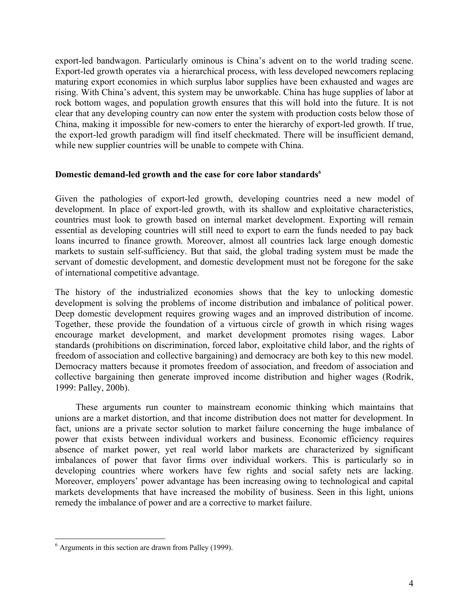export-led bandwagon. Particularly ominous is China's advent on to the world trading scene. Export-led growth operates via a hierarchical process, with less developed newcomers replacing maturing export economies in which surplus labor supplies have been exhausted and wages are rising. With China's advent, this system may be unworkable. China has huge supplies of labor at rock bottom wages, and population growth ensures that this will hold into the future. It is not clear that any developing country can now enter the system with production costs below those of China, making it impossible for new-comers to enter the hierarchy of export-led growth. If true, the export-led growth paradigm will find itself checkmated. There will be insufficient demand, while new supplier countries will be unable to compete with China.

#### **Domestic demand-led growth and the case for core labor standards[6](#page-3-0)**

Given the pathologies of export-led growth, developing countries need a new model of development. In place of export-led growth, with its shallow and exploitative characteristics, countries must look to growth based on internal market development. Exporting will remain essential as developing countries will still need to export to earn the funds needed to pay back loans incurred to finance growth. Moreover, almost all countries lack large enough domestic markets to sustain self-sufficiency. But that said, the global trading system must be made the servant of domestic development, and domestic development must not be foregone for the sake of international competitive advantage.

The history of the industrialized economies shows that the key to unlocking domestic development is solving the problems of income distribution and imbalance of political power. Deep domestic development requires growing wages and an improved distribution of income. Together, these provide the foundation of a virtuous circle of growth in which rising wages encourage market development, and market development promotes rising wages. Labor standards (prohibitions on discrimination, forced labor, exploitative child labor, and the rights of freedom of association and collective bargaining) and democracy are both key to this new model. Democracy matters because it promotes freedom of association, and freedom of association and collective bargaining then generate improved income distribution and higher wages (Rodrik, 1999: Palley, 200b).

These arguments run counter to mainstream economic thinking which maintains that unions are a market distortion, and that income distribution does not matter for development. In fact, unions are a private sector solution to market failure concerning the huge imbalance of power that exists between individual workers and business. Economic efficiency requires absence of market power, yet real world labor markets are characterized by significant imbalances of power that favor firms over individual workers. This is particularly so in developing countries where workers have few rights and social safety nets are lacking. Moreover, employers' power advantage has been increasing owing to technological and capital markets developments that have increased the mobility of business. Seen in this light, unions remedy the imbalance of power and are a corrective to market failure.

 $\overline{a}$ 

<span id="page-3-0"></span><sup>&</sup>lt;sup>6</sup> Arguments in this section are drawn from Palley (1999).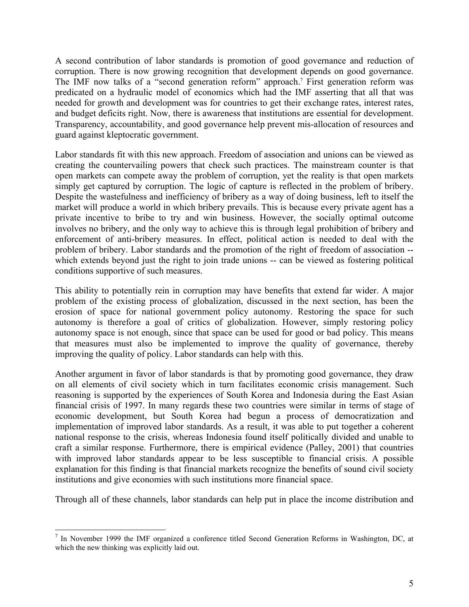A second contribution of labor standards is promotion of good governance and reduction of corruption. There is now growing recognition that development depends on good governance. The IMF now talks of a "second generation reform" approach.<sup>7</sup> First generation reform was predicated on a hydraulic model of economics which had the IMF asserting that all that was needed for growth and development was for countries to get their exchange rates, interest rates, and budget deficits right. Now, there is awareness that institutions are essential for development. Transparency, accountability, and good governance help prevent mis-allocation of resources and guard against kleptocratic government.

Labor standards fit with this new approach. Freedom of association and unions can be viewed as creating the countervailing powers that check such practices. The mainstream counter is that open markets can compete away the problem of corruption, yet the reality is that open markets simply get captured by corruption. The logic of capture is reflected in the problem of bribery. Despite the wastefulness and inefficiency of bribery as a way of doing business, left to itself the market will produce a world in which bribery prevails. This is because every private agent has a private incentive to bribe to try and win business. However, the socially optimal outcome involves no bribery, and the only way to achieve this is through legal prohibition of bribery and enforcement of anti-bribery measures. In effect, political action is needed to deal with the problem of bribery. Labor standards and the promotion of the right of freedom of association - which extends beyond just the right to join trade unions -- can be viewed as fostering political conditions supportive of such measures.

This ability to potentially rein in corruption may have benefits that extend far wider. A major problem of the existing process of globalization, discussed in the next section, has been the erosion of space for national government policy autonomy. Restoring the space for such autonomy is therefore a goal of critics of globalization. However, simply restoring policy autonomy space is not enough, since that space can be used for good or bad policy. This means that measures must also be implemented to improve the quality of governance, thereby improving the quality of policy. Labor standards can help with this.

Another argument in favor of labor standards is that by promoting good governance, they draw on all elements of civil society which in turn facilitates economic crisis management. Such reasoning is supported by the experiences of South Korea and Indonesia during the East Asian financial crisis of 1997. In many regards these two countries were similar in terms of stage of economic development, but South Korea had begun a process of democratization and implementation of improved labor standards. As a result, it was able to put together a coherent national response to the crisis, whereas Indonesia found itself politically divided and unable to craft a similar response. Furthermore, there is empirical evidence (Palley, 2001) that countries with improved labor standards appear to be less susceptible to financial crisis. A possible explanation for this finding is that financial markets recognize the benefits of sound civil society institutions and give economies with such institutions more financial space.

Through all of these channels, labor standards can help put in place the income distribution and

 $\overline{a}$ 

<span id="page-4-0"></span><sup>&</sup>lt;sup>7</sup> In November 1999 the IMF organized a conference titled Second Generation Reforms in Washington, DC, at which the new thinking was explicitly laid out.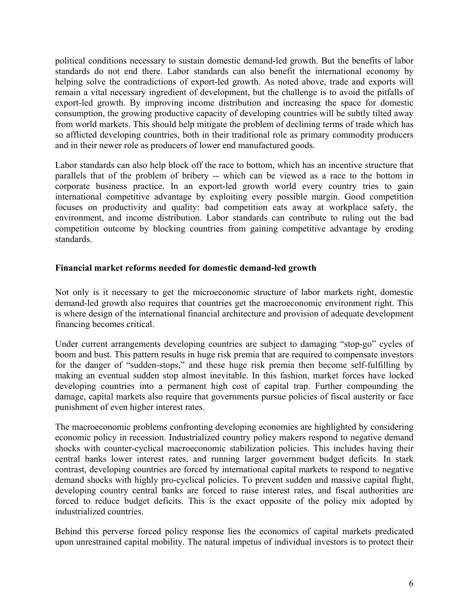political conditions necessary to sustain domestic demand-led growth. But the benefits of labor standards do not end there. Labor standards can also benefit the international economy by helping solve the contradictions of export-led growth. As noted above, trade and exports will remain a vital necessary ingredient of development, but the challenge is to avoid the pitfalls of export-led growth. By improving income distribution and increasing the space for domestic consumption, the growing productive capacity of developing countries will be subtly tilted away from world markets. This should help mitigate the problem of declining terms of trade which has so afflicted developing countries, both in their traditional role as primary commodity producers and in their newer role as producers of lower end manufactured goods.

Labor standards can also help block off the race to bottom, which has an incentive structure that parallels that of the problem of bribery -- which can be viewed as a race to the bottom in corporate business practice. In an export-led growth world every country tries to gain international competitive advantage by exploiting every possible margin. Good competition focuses on productivity and quality: bad competition eats away at workplace safety, the environment, and income distribution. Labor standards can contribute to ruling out the bad competition outcome by blocking countries from gaining competitive advantage by eroding standards.

#### **Financial market reforms needed for domestic demand-led growth**

Not only is it necessary to get the microeconomic structure of labor markets right, domestic demand-led growth also requires that countries get the macroeconomic environment right. This is where design of the international financial architecture and provision of adequate development financing becomes critical.

Under current arrangements developing countries are subject to damaging "stop-go" cycles of boom and bust. This pattern results in huge risk premia that are required to compensate investors for the danger of "sudden-stops," and these huge risk premia then become self-fulfilling by making an eventual sudden stop almost inevitable. In this fashion, market forces have locked developing countries into a permanent high cost of capital trap. Further compounding the damage, capital markets also require that governments pursue policies of fiscal austerity or face punishment of even higher interest rates.

The macroeconomic problems confronting developing economies are highlighted by considering economic policy in recession. Industrialized country policy makers respond to negative demand shocks with counter-cyclical macroeconomic stabilization policies. This includes having their central banks lower interest rates, and running larger government budget deficits. In stark contrast, developing countries are forced by international capital markets to respond to negative demand shocks with highly pro-cyclical policies. To prevent sudden and massive capital flight, developing country central banks are forced to raise interest rates, and fiscal authorities are forced to reduce budget deficits. This is the exact opposite of the policy mix adopted by industrialized countries.

Behind this perverse forced policy response lies the economics of capital markets predicated upon unrestrained capital mobility. The natural impetus of individual investors is to protect their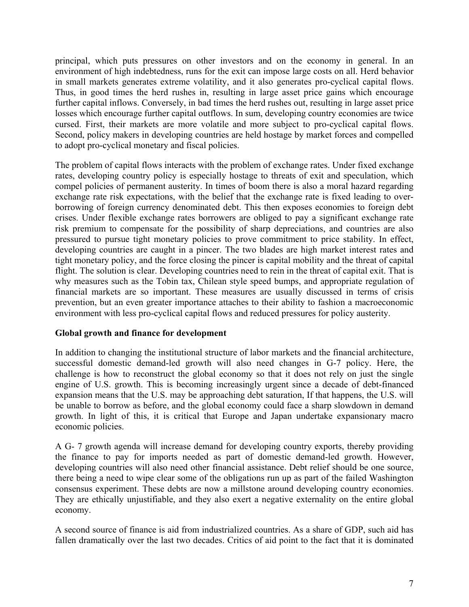principal, which puts pressures on other investors and on the economy in general. In an environment of high indebtedness, runs for the exit can impose large costs on all. Herd behavior in small markets generates extreme volatility, and it also generates pro-cyclical capital flows. Thus, in good times the herd rushes in, resulting in large asset price gains which encourage further capital inflows. Conversely, in bad times the herd rushes out, resulting in large asset price losses which encourage further capital outflows. In sum, developing country economies are twice cursed. First, their markets are more volatile and more subject to pro-cyclical capital flows. Second, policy makers in developing countries are held hostage by market forces and compelled to adopt pro-cyclical monetary and fiscal policies.

The problem of capital flows interacts with the problem of exchange rates. Under fixed exchange rates, developing country policy is especially hostage to threats of exit and speculation, which compel policies of permanent austerity. In times of boom there is also a moral hazard regarding exchange rate risk expectations, with the belief that the exchange rate is fixed leading to overborrowing of foreign currency denominated debt. This then exposes economies to foreign debt crises. Under flexible exchange rates borrowers are obliged to pay a significant exchange rate risk premium to compensate for the possibility of sharp depreciations, and countries are also pressured to pursue tight monetary policies to prove commitment to price stability. In effect, developing countries are caught in a pincer. The two blades are high market interest rates and tight monetary policy, and the force closing the pincer is capital mobility and the threat of capital flight. The solution is clear. Developing countries need to rein in the threat of capital exit. That is why measures such as the Tobin tax, Chilean style speed bumps, and appropriate regulation of financial markets are so important. These measures are usually discussed in terms of crisis prevention, but an even greater importance attaches to their ability to fashion a macroeconomic environment with less pro-cyclical capital flows and reduced pressures for policy austerity.

## **Global growth and finance for development**

In addition to changing the institutional structure of labor markets and the financial architecture, successful domestic demand-led growth will also need changes in G-7 policy. Here, the challenge is how to reconstruct the global economy so that it does not rely on just the single engine of U.S. growth. This is becoming increasingly urgent since a decade of debt-financed expansion means that the U.S. may be approaching debt saturation, If that happens, the U.S. will be unable to borrow as before, and the global economy could face a sharp slowdown in demand growth. In light of this, it is critical that Europe and Japan undertake expansionary macro economic policies.

A G- 7 growth agenda will increase demand for developing country exports, thereby providing the finance to pay for imports needed as part of domestic demand-led growth. However, developing countries will also need other financial assistance. Debt relief should be one source, there being a need to wipe clear some of the obligations run up as part of the failed Washington consensus experiment. These debts are now a millstone around developing country economies. They are ethically unjustifiable, and they also exert a negative externality on the entire global economy.

A second source of finance is aid from industrialized countries. As a share of GDP, such aid has fallen dramatically over the last two decades. Critics of aid point to the fact that it is dominated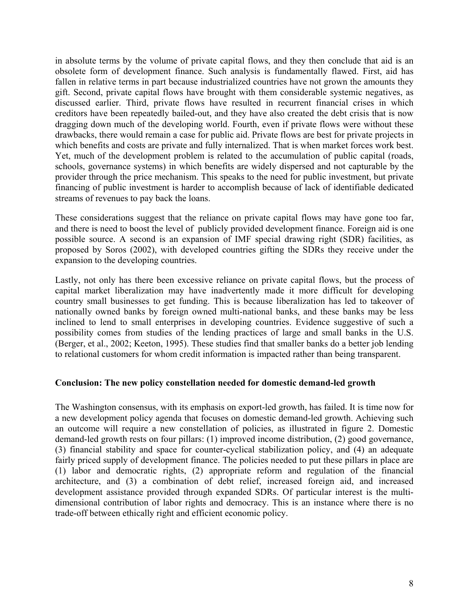in absolute terms by the volume of private capital flows, and they then conclude that aid is an obsolete form of development finance. Such analysis is fundamentally flawed. First, aid has fallen in relative terms in part because industrialized countries have not grown the amounts they gift. Second, private capital flows have brought with them considerable systemic negatives, as discussed earlier. Third, private flows have resulted in recurrent financial crises in which creditors have been repeatedly bailed-out, and they have also created the debt crisis that is now dragging down much of the developing world. Fourth, even if private flows were without these drawbacks, there would remain a case for public aid. Private flows are best for private projects in which benefits and costs are private and fully internalized. That is when market forces work best. Yet, much of the development problem is related to the accumulation of public capital (roads, schools, governance systems) in which benefits are widely dispersed and not capturable by the provider through the price mechanism. This speaks to the need for public investment, but private financing of public investment is harder to accomplish because of lack of identifiable dedicated streams of revenues to pay back the loans.

These considerations suggest that the reliance on private capital flows may have gone too far, and there is need to boost the level of publicly provided development finance. Foreign aid is one possible source. A second is an expansion of IMF special drawing right (SDR) facilities, as proposed by Soros (2002), with developed countries gifting the SDRs they receive under the expansion to the developing countries.

Lastly, not only has there been excessive reliance on private capital flows, but the process of capital market liberalization may have inadvertently made it more difficult for developing country small businesses to get funding. This is because liberalization has led to takeover of nationally owned banks by foreign owned multi-national banks, and these banks may be less inclined to lend to small enterprises in developing countries. Evidence suggestive of such a possibility comes from studies of the lending practices of large and small banks in the U.S. (Berger, et al., 2002; Keeton, 1995). These studies find that smaller banks do a better job lending to relational customers for whom credit information is impacted rather than being transparent.

## **Conclusion: The new policy constellation needed for domestic demand-led growth**

The Washington consensus, with its emphasis on export-led growth, has failed. It is time now for a new development policy agenda that focuses on domestic demand-led growth. Achieving such an outcome will require a new constellation of policies, as illustrated in figure 2. Domestic demand-led growth rests on four pillars: (1) improved income distribution, (2) good governance, (3) financial stability and space for counter-cyclical stabilization policy, and (4) an adequate fairly priced supply of development finance. The policies needed to put these pillars in place are (1) labor and democratic rights, (2) appropriate reform and regulation of the financial architecture, and (3) a combination of debt relief, increased foreign aid, and increased development assistance provided through expanded SDRs. Of particular interest is the multidimensional contribution of labor rights and democracy. This is an instance where there is no trade-off between ethically right and efficient economic policy.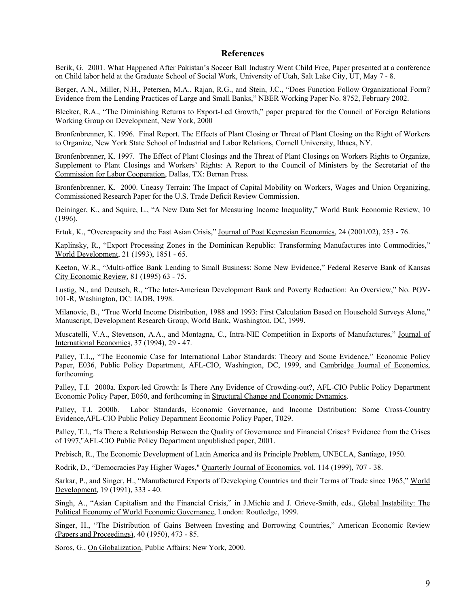#### **References**

Berik, G. 2001. What Happened After Pakistan's Soccer Ball Industry Went Child Free, Paper presented at a conference on Child labor held at the Graduate School of Social Work, University of Utah, Salt Lake City, UT, May 7 - 8.

Berger, A.N., Miller, N.H., Petersen, M.A., Rajan, R.G., and Stein, J.C., "Does Function Follow Organizational Form? Evidence from the Lending Practices of Large and Small Banks," NBER Working Paper No. 8752, February 2002.

Blecker, R.A., "The Diminishing Returns to Export-Led Growth," paper prepared for the Council of Foreign Relations Working Group on Development, New York, 2000

Bronfenbrenner, K. 1996. Final Report. The Effects of Plant Closing or Threat of Plant Closing on the Right of Workers to Organize, New York State School of Industrial and Labor Relations, Cornell University, Ithaca, NY.

Bronfenbrenner, K. 1997. The Effect of Plant Closings and the Threat of Plant Closings on Workers Rights to Organize, Supplement to Plant Closings and Workers' Rights: A Report to the Council of Ministers by the Secretariat of the Commission for Labor Cooperation, Dallas, TX: Bernan Press.

Bronfenbrenner, K. 2000. Uneasy Terrain: The Impact of Capital Mobility on Workers, Wages and Union Organizing, Commissioned Research Paper for the U.S. Trade Deficit Review Commission.

Deininger, K., and Squire, L., "A New Data Set for Measuring Income Inequality," World Bank Economic Review, 10 (1996).

Ertuk, K., "Overcapacity and the East Asian Crisis," Journal of Post Keynesian Economics, 24 (2001/02), 253 - 76.

Kaplinsky, R., "Export Processing Zones in the Dominican Republic: Transforming Manufactures into Commodities," World Development, 21 (1993), 1851 - 65.

Keeton, W.R., "Multi-office Bank Lending to Small Business: Some New Evidence," Federal Reserve Bank of Kansas City Economic Review, 81 (1995) 63 - 75.

Lustig, N., and Deutsch, R., "The Inter-American Development Bank and Poverty Reduction: An Overview," No. POV-101-R, Washington, DC: IADB, 1998.

Milanovic, B., "True World Income Distribution, 1988 and 1993: First Calculation Based on Household Surveys Alone," Manuscript, Development Research Group, World Bank, Washington, DC, 1999.

Muscatelli, V.A., Stevenson, A.A., and Montagna, C., Intra-NIE Competition in Exports of Manufactures," Journal of International Economics, 37 (1994), 29 - 47.

Palley, T.I.,, "The Economic Case for International Labor Standards: Theory and Some Evidence," Economic Policy Paper, E036, Public Policy Department, AFL-CIO, Washington, DC, 1999, and Cambridge Journal of Economics, forthcoming.

Palley, T.I. 2000a. Export-led Growth: Is There Any Evidence of Crowding-out?, AFL-CIO Public Policy Department Economic Policy Paper, E050, and forthcoming in Structural Change and Economic Dynamics.

Palley, T.I. 2000b. Labor Standards, Economic Governance, and Income Distribution: Some Cross-Country Evidence,AFL-CIO Public Policy Department Economic Policy Paper, T029.

Palley, T.I., "Is There a Relationship Between the Quality of Governance and Financial Crises? Evidence from the Crises of 1997,"AFL-CIO Public Policy Department unpublished paper, 2001.

Prebisch, R., The Economic Development of Latin America and its Principle Problem, UNECLA, Santiago, 1950.

Rodrik, D., "Democracies Pay Higher Wages," Quarterly Journal of Economics, vol. 114 (1999), 707 - 38.

Sarkar, P., and Singer, H., "Manufactured Exports of Developing Countries and their Terms of Trade since 1965," World Development, 19 (1991), 333 - 40.

Singh, A., "Asian Capitalism and the Financial Crisis," in J.Michie and J. Grieve-Smith, eds., Global Instability: The Political Economy of World Economic Governance, London: Routledge, 1999.

Singer, H., "The Distribution of Gains Between Investing and Borrowing Countries," American Economic Review (Papers and Proceedings), 40 (1950), 473 - 85.

Soros, G., On Globalization, Public Affairs: New York, 2000.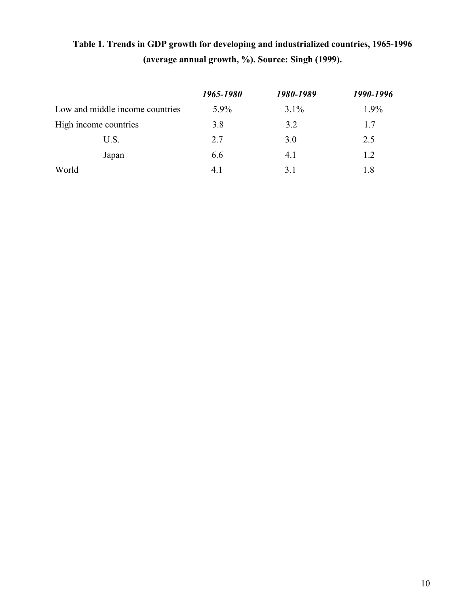# **Table 1. Trends in GDP growth for developing and industrialized countries, 1965-1996 (average annual growth, %). Source: Singh (1999).**

|                                 | 1965-1980 | 1980-1989 | 1990-1996 |
|---------------------------------|-----------|-----------|-----------|
| Low and middle income countries | $5.9\%$   | $3.1\%$   | 1.9%      |
| High income countries           | 3.8       | 3.2       | 1.7       |
| U.S.                            | 2.7       | 3.0       | 2.5       |
| Japan                           | 6.6       | 4.1       | 1.2       |
| World                           | 41        | 31        | 1.8       |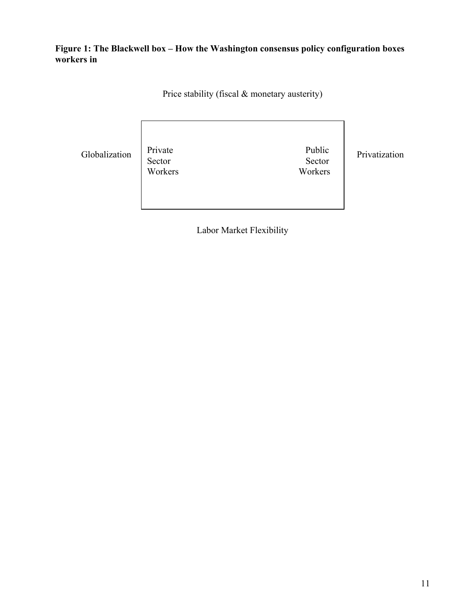**Figure 1: The Blackwell box – How the Washington consensus policy configuration boxes workers in** 

Price stability (fiscal & monetary austerity)

Globalization Private Public Public Privatization Public Privatization Sector Sector Sector<br>Workers Workers Workers

Labor Market Flexibility